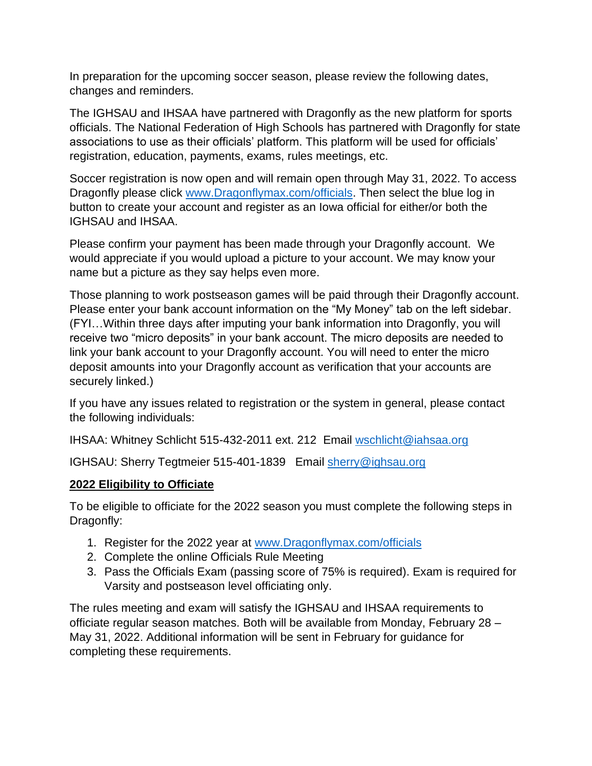In preparation for the upcoming soccer season, please review the following dates, changes and reminders.

The IGHSAU and IHSAA have partnered with Dragonfly as the new platform for sports officials. The National Federation of High Schools has partnered with Dragonfly for state associations to use as their officials' platform. This platform will be used for officials' registration, education, payments, exams, rules meetings, etc.

Soccer registration is now open and will remain open through May 31, 2022. To access Dragonfly please click [www.Dragonflymax.com/officials.](http://www.dragonflymax.com/officials) Then select the blue log in button to create your account and register as an Iowa official for either/or both the IGHSAU and IHSAA.

Please confirm your payment has been made through your Dragonfly account. We would appreciate if you would upload a picture to your account. We may know your name but a picture as they say helps even more.

Those planning to work postseason games will be paid through their Dragonfly account. Please enter your bank account information on the "My Money" tab on the left sidebar. (FYI…Within three days after imputing your bank information into Dragonfly, you will receive two "micro deposits" in your bank account. The micro deposits are needed to link your bank account to your Dragonfly account. You will need to enter the micro deposit amounts into your Dragonfly account as verification that your accounts are securely linked.)

If you have any issues related to registration or the system in general, please contact the following individuals:

IHSAA: Whitney Schlicht 515-432-2011 ext. 212 Email [wschlicht@iahsaa.org](mailto:wschlicht@iahsaa.org)

IGHSAU: Sherry Tegtmeier 515-401-1839 Email [sherry@ighsau.org](mailto:sherry@ighsau.org)

#### **2022 Eligibility to Officiate**

To be eligible to officiate for the 2022 season you must complete the following steps in Dragonfly:

- 1. Register for the 2022 year at [www.Dragonflymax.com/officials](http://www.dragonflymax.com/officials)
- 2. Complete the online Officials Rule Meeting
- 3. Pass the Officials Exam (passing score of 75% is required). Exam is required for Varsity and postseason level officiating only.

The rules meeting and exam will satisfy the IGHSAU and IHSAA requirements to officiate regular season matches. Both will be available from Monday, February 28 – May 31, 2022. Additional information will be sent in February for guidance for completing these requirements.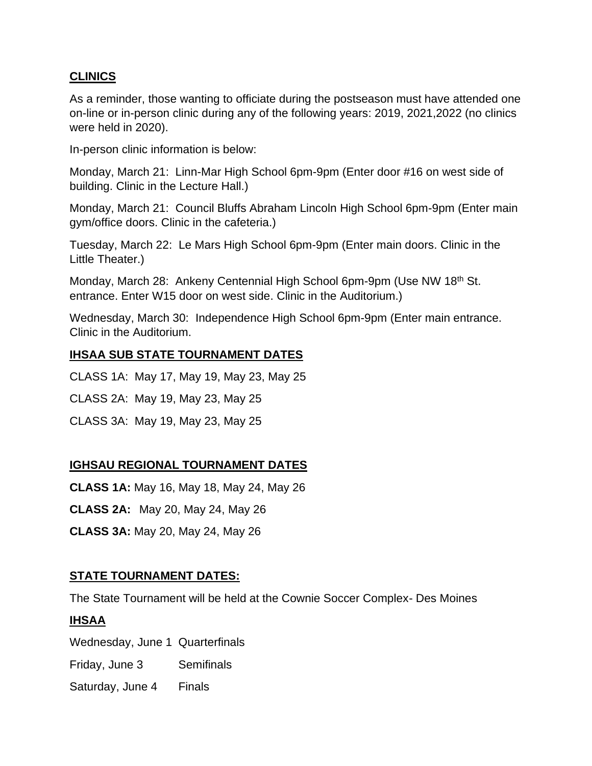### **CLINICS**

As a reminder, those wanting to officiate during the postseason must have attended one on-line or in-person clinic during any of the following years: 2019, 2021,2022 (no clinics were held in 2020).

In-person clinic information is below:

Monday, March 21: Linn-Mar High School 6pm-9pm (Enter door #16 on west side of building. Clinic in the Lecture Hall.)

Monday, March 21: Council Bluffs Abraham Lincoln High School 6pm-9pm (Enter main gym/office doors. Clinic in the cafeteria.)

Tuesday, March 22: Le Mars High School 6pm-9pm (Enter main doors. Clinic in the Little Theater.)

Monday, March 28: Ankeny Centennial High School 6pm-9pm (Use NW 18<sup>th</sup> St. entrance. Enter W15 door on west side. Clinic in the Auditorium.)

Wednesday, March 30: Independence High School 6pm-9pm (Enter main entrance. Clinic in the Auditorium.

#### **IHSAA SUB STATE TOURNAMENT DATES**

CLASS 1A: May 17, May 19, May 23, May 25

CLASS 2A: May 19, May 23, May 25

CLASS 3A: May 19, May 23, May 25

# **IGHSAU REGIONAL TOURNAMENT DATES**

**CLASS 1A:** May 16, May 18, May 24, May 26

**CLASS 2A:** May 20, May 24, May 26

**CLASS 3A:** May 20, May 24, May 26

# **STATE TOURNAMENT DATES:**

The State Tournament will be held at the Cownie Soccer Complex- Des Moines

# **IHSAA**

Wednesday, June 1 Quarterfinals

Friday, June 3 Semifinals

Saturday, June 4 Finals